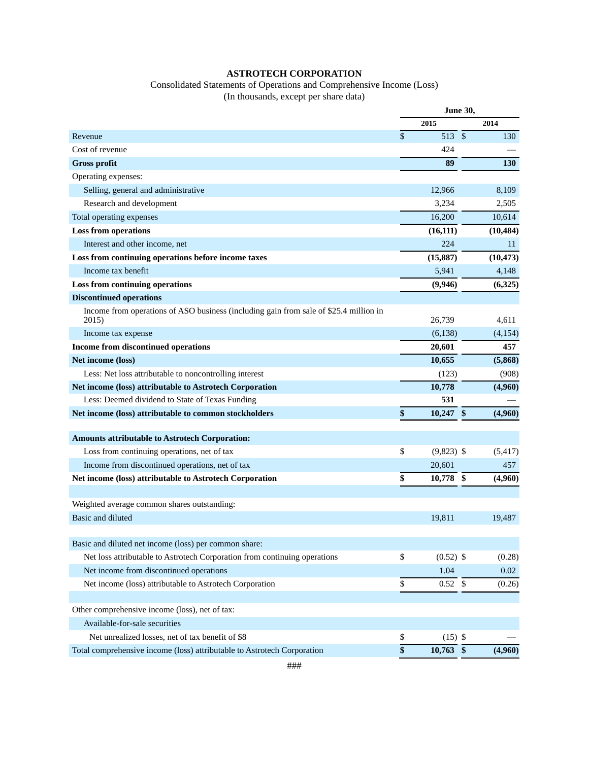## **ASTROTECH CORPORATION**

# Consolidated Statements of Operations and Comprehensive Income (Loss)

(In thousands, except per share data)

|                                                                                                | <b>June 30,</b> |              |             |            |
|------------------------------------------------------------------------------------------------|-----------------|--------------|-------------|------------|
|                                                                                                |                 | 2015         |             | 2014       |
| Revenue                                                                                        | \$              | 513          | $\sqrt{\ }$ | 130        |
| Cost of revenue                                                                                |                 | 424          |             |            |
| <b>Gross profit</b>                                                                            |                 | 89           |             | <b>130</b> |
| Operating expenses:                                                                            |                 |              |             |            |
| Selling, general and administrative                                                            |                 | 12,966       |             | 8,109      |
| Research and development                                                                       |                 | 3,234        |             | 2,505      |
| Total operating expenses                                                                       |                 | 16,200       |             | 10,614     |
| <b>Loss from operations</b>                                                                    |                 | (16, 111)    |             | (10, 484)  |
| Interest and other income, net                                                                 |                 | 224          |             | 11         |
| Loss from continuing operations before income taxes                                            |                 | (15, 887)    |             | (10, 473)  |
| Income tax benefit                                                                             |                 | 5,941        |             | 4,148      |
| Loss from continuing operations                                                                |                 | (9,946)      |             | (6,325)    |
| <b>Discontinued operations</b>                                                                 |                 |              |             |            |
| Income from operations of ASO business (including gain from sale of \$25.4 million in<br>2015) |                 | 26,739       |             | 4,611      |
| Income tax expense                                                                             |                 | (6,138)      |             | (4,154)    |
| Income from discontinued operations                                                            |                 | 20,601       |             | 457        |
| Net income (loss)                                                                              |                 | 10,655       |             | (5,868)    |
| Less: Net loss attributable to noncontrolling interest                                         |                 | (123)        |             | (908)      |
| Net income (loss) attributable to Astrotech Corporation                                        |                 | 10,778       |             | (4,960)    |
| Less: Deemed dividend to State of Texas Funding                                                |                 | 531          |             |            |
| Net income (loss) attributable to common stockholders                                          | \$              | 10,247       | \$          | (4,960)    |
|                                                                                                |                 |              |             |            |
| <b>Amounts attributable to Astrotech Corporation:</b>                                          |                 |              |             |            |
| Loss from continuing operations, net of tax                                                    | \$              | $(9,823)$ \$ |             | (5, 417)   |
| Income from discontinued operations, net of tax                                                |                 | 20,601       |             | 457        |
| Net income (loss) attributable to Astrotech Corporation                                        | \$              | 10,778 \$    |             | (4,960)    |
|                                                                                                |                 |              |             |            |
| Weighted average common shares outstanding:                                                    |                 |              |             |            |
| Basic and diluted                                                                              |                 | 19,811       |             | 19,487     |
|                                                                                                |                 |              |             |            |
| Basic and diluted net income (loss) per common share:                                          |                 |              |             |            |
| Net loss attributable to Astrotech Corporation from continuing operations                      | \$              | $(0.52)$ \$  |             | (0.28)     |
| Net income from discontinued operations                                                        |                 | 1.04         |             | 0.02       |
| Net income (loss) attributable to Astrotech Corporation                                        | \$              | 0.52         | \$          | (0.26)     |
|                                                                                                |                 |              |             |            |
| Other comprehensive income (loss), net of tax:                                                 |                 |              |             |            |
| Available-for-sale securities                                                                  |                 |              |             |            |
| Net unrealized losses, net of tax benefit of \$8                                               | \$              | $(15)$ \$    |             |            |
| Total comprehensive income (loss) attributable to Astrotech Corporation                        | \$              | $10,763$ \$  |             | (4,960)    |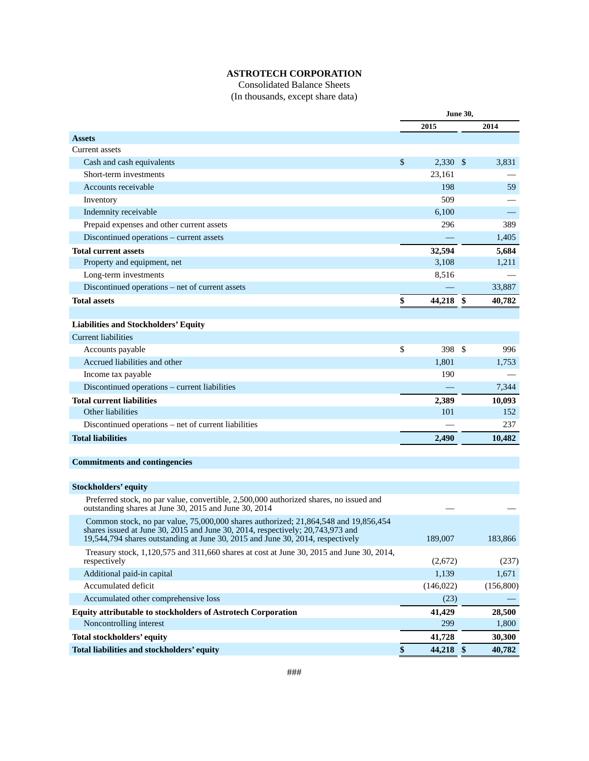## **ASTROTECH CORPORATION**

### Consolidated Balance Sheets (In thousands, except share data)

|                                                                                                                                                                                                                                                           | <b>June 30,</b>  |    |            |
|-----------------------------------------------------------------------------------------------------------------------------------------------------------------------------------------------------------------------------------------------------------|------------------|----|------------|
|                                                                                                                                                                                                                                                           | 2015             |    | 2014       |
| <b>Assets</b>                                                                                                                                                                                                                                             |                  |    |            |
| Current assets                                                                                                                                                                                                                                            |                  |    |            |
| Cash and cash equivalents                                                                                                                                                                                                                                 | \$<br>$2,330$ \$ |    | 3,831      |
| Short-term investments                                                                                                                                                                                                                                    | 23,161           |    |            |
| Accounts receivable                                                                                                                                                                                                                                       | 198              |    | 59         |
| Inventory                                                                                                                                                                                                                                                 | 509              |    |            |
| Indemnity receivable                                                                                                                                                                                                                                      | 6,100            |    |            |
| Prepaid expenses and other current assets                                                                                                                                                                                                                 | 296              |    | 389        |
| Discontinued operations – current assets                                                                                                                                                                                                                  |                  |    | 1,405      |
| <b>Total current assets</b>                                                                                                                                                                                                                               | 32,594           |    | 5,684      |
| Property and equipment, net                                                                                                                                                                                                                               | 3,108            |    | 1,211      |
| Long-term investments                                                                                                                                                                                                                                     | 8,516            |    |            |
| Discontinued operations – net of current assets                                                                                                                                                                                                           |                  |    | 33,887     |
| <b>Total assets</b>                                                                                                                                                                                                                                       | \$<br>44,218 \$  |    | 40,782     |
|                                                                                                                                                                                                                                                           |                  |    |            |
| <b>Liabilities and Stockholders' Equity</b>                                                                                                                                                                                                               |                  |    |            |
| Current liabilities                                                                                                                                                                                                                                       |                  |    |            |
| Accounts payable                                                                                                                                                                                                                                          | \$<br>398        | \$ | 996        |
| Accrued liabilities and other                                                                                                                                                                                                                             | 1,801            |    | 1,753      |
| Income tax payable                                                                                                                                                                                                                                        | 190              |    |            |
| Discontinued operations - current liabilities                                                                                                                                                                                                             |                  |    | 7,344      |
| <b>Total current liabilities</b>                                                                                                                                                                                                                          | 2,389            |    | 10,093     |
| Other liabilities                                                                                                                                                                                                                                         | 101              |    | 152        |
| Discontinued operations - net of current liabilities                                                                                                                                                                                                      |                  |    | 237        |
| <b>Total liabilities</b>                                                                                                                                                                                                                                  | 2,490            |    | 10,482     |
|                                                                                                                                                                                                                                                           |                  |    |            |
| <b>Commitments and contingencies</b>                                                                                                                                                                                                                      |                  |    |            |
|                                                                                                                                                                                                                                                           |                  |    |            |
| <b>Stockholders' equity</b>                                                                                                                                                                                                                               |                  |    |            |
| Preferred stock, no par value, convertible, 2,500,000 authorized shares, no issued and<br>outstanding shares at June 30, 2015 and June 30, 2014                                                                                                           |                  |    |            |
| Common stock, no par value, 75,000,000 shares authorized; 21,864,548 and 19,856,454<br>shares issued at June 30, 2015 and June 30, 2014, respectively; $20,743,973$ and<br>19,544,794 shares outstanding at June 30, 2015 and June 30, 2014, respectively | 189,007          |    | 183,866    |
| Treasury stock, 1,120,575 and 311,660 shares at cost at June 30, 2015 and June 30, 2014,<br>respectively                                                                                                                                                  | (2,672)          |    | (237)      |
| Additional paid-in capital                                                                                                                                                                                                                                | 1,139            |    | 1,671      |
| Accumulated deficit                                                                                                                                                                                                                                       | (146, 022)       |    | (156, 800) |
| Accumulated other comprehensive loss                                                                                                                                                                                                                      | (23)             |    |            |
| <b>Equity attributable to stockholders of Astrotech Corporation</b>                                                                                                                                                                                       | 41,429           |    | 28,500     |
| Noncontrolling interest                                                                                                                                                                                                                                   | 299              |    | 1,800      |
| Total stockholders' equity                                                                                                                                                                                                                                | 41,728           |    | 30,300     |
| Total liabilities and stockholders' equity                                                                                                                                                                                                                | \$<br>44,218 \$  |    | 40,782     |